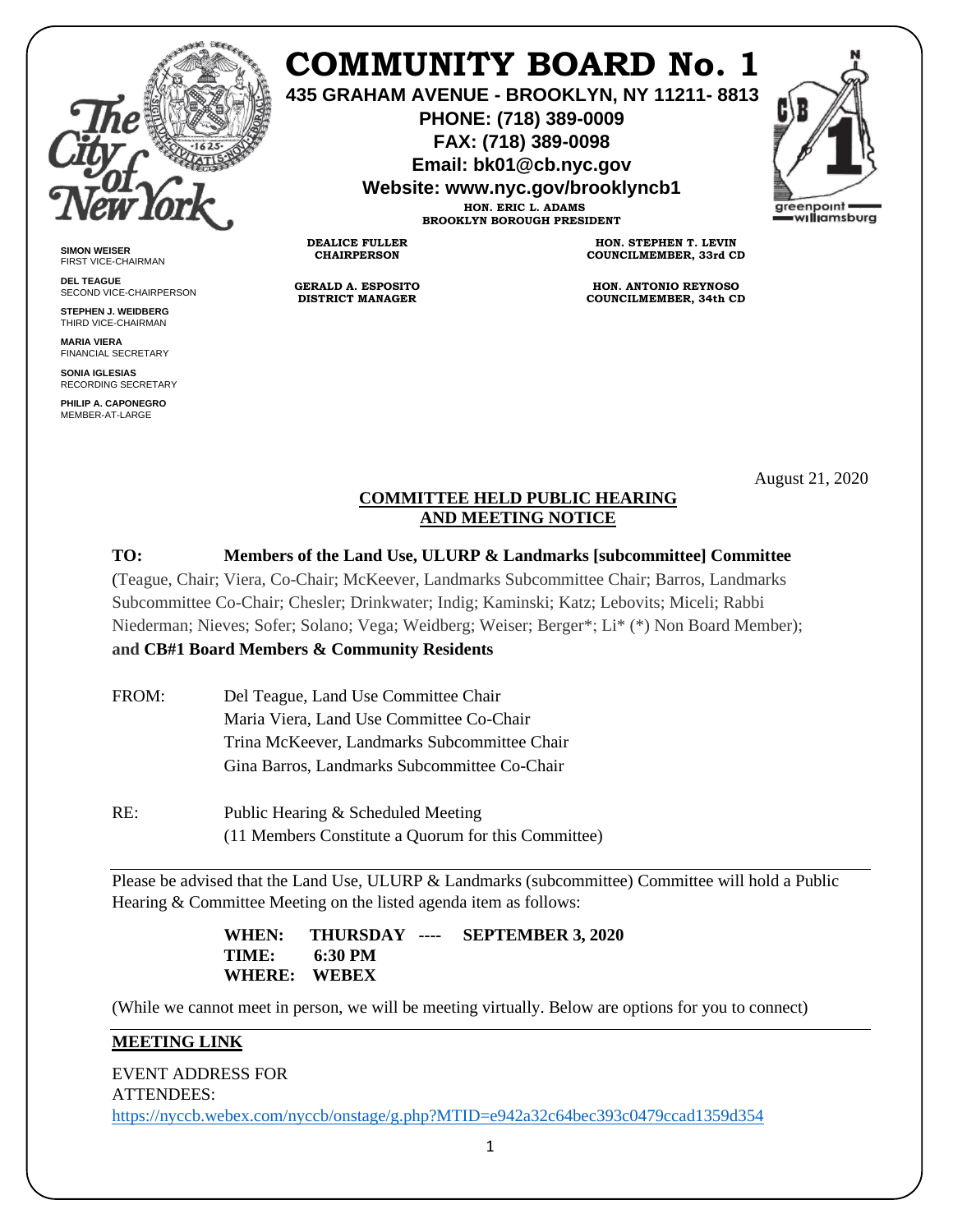

**SIMON WEISER** FIRST VICE-CHAIRMAN **DEL TEAGUE**

SECOND VICE-CHAIRPERSON **STEPHEN J. WEIDBERG** THIRD VICE-CHAIRMAN **MARIA VIERA** FINANCIAL SECRETARY **SONIA IGLESIAS** RECORDING SECRETARY **PHILIP A. CAPONEGRO** MEMBER-AT-LARGE

# **COMMUNITY BOARD No. 1**

**435 GRAHAM AVENUE - BROOKLYN, NY 11211- 8813**

**PHONE: (718) 389-0009 FAX: (718) 389-0098**

**Email: bk01@cb.nyc.gov**

**Website: www.nyc.gov/brooklyncb1**

**HON. ERIC L. ADAMS BROOKLYN BOROUGH PRESIDENT**

**DEALICE FULLER CHAIRPERSON**

**GERALD A. ESPOSITO DISTRICT MANAGER**

**HON. STEPHEN T. LEVIN COUNCILMEMBER, 33rd CD**

**HON. ANTONIO REYNOSO COUNCILMEMBER, 34th CD**

August 21, 2020

## **COMMITTEE HELD PUBLIC HEARING AND MEETING NOTICE**

## **TO: Members of the Land Use, ULURP & Landmarks [subcommittee] Committee**

(Teague, Chair; Viera, Co-Chair; McKeever, Landmarks Subcommittee Chair; Barros, Landmarks Subcommittee Co-Chair; Chesler; Drinkwater; Indig; Kaminski; Katz; Lebovits; Miceli; Rabbi Niederman; Nieves; Sofer; Solano; Vega; Weidberg; Weiser; Berger\*; Li\* (\*) Non Board Member); **and CB#1 Board Members & Community Residents** 

| FROM: | Del Teague, Land Use Committee Chair         |  |
|-------|----------------------------------------------|--|
|       | Maria Viera, Land Use Committee Co-Chair     |  |
|       | Trina McKeever, Landmarks Subcommittee Chair |  |
|       | Gina Barros, Landmarks Subcommittee Co-Chair |  |
|       |                                              |  |
| RE:   | Public Hearing & Scheduled Meeting           |  |

(11 Members Constitute a Quorum for this Committee)

Please be advised that the Land Use, ULURP & Landmarks (subcommittee) Committee will hold a Public Hearing & Committee Meeting on the listed agenda item as follows:

> **WHEN: THURSDAY ---- SEPTEMBER 3, 2020 TIME: 6:30 PM WHERE: WEBEX**

(While we cannot meet in person, we will be meeting virtually. Below are options for you to connect)

## **MEETING LINK**

EVENT ADDRESS FOR ATTENDEES: <https://nyccb.webex.com/nyccb/onstage/g.php?MTID=e942a32c64bec393c0479ccad1359d354>